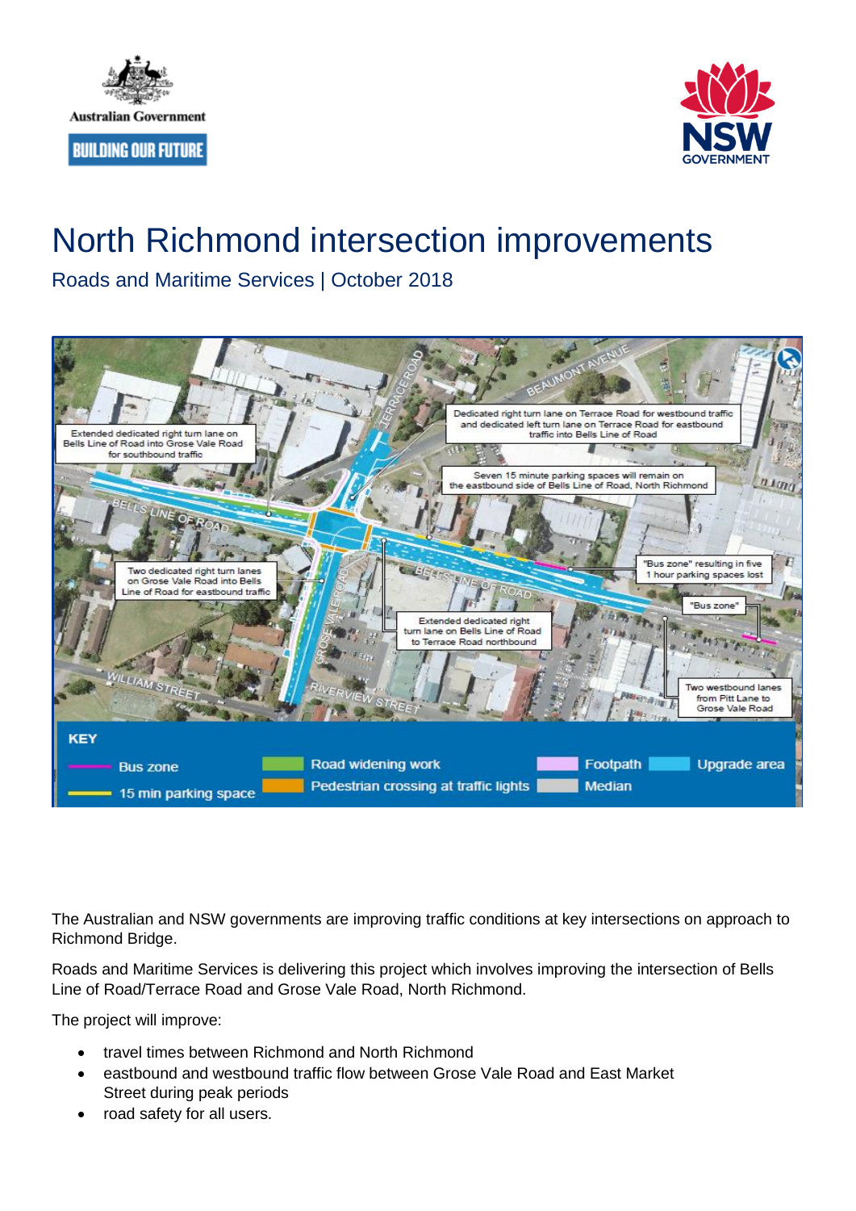



# North Richmond intersection improvements

Roads and Maritime Services | October 2018



The Australian and NSW governments are improving traffic conditions at key intersections on approach to Richmond Bridge.

Roads and Maritime Services is delivering this project which involves improving the intersection of Bells Line of Road/Terrace Road and Grose Vale Road, North Richmond.

The project will improve:

- travel times between Richmond and North Richmond
- eastbound and westbound traffic flow between Grose Vale Road and East Market Street during peak periods
- road safety for all users.